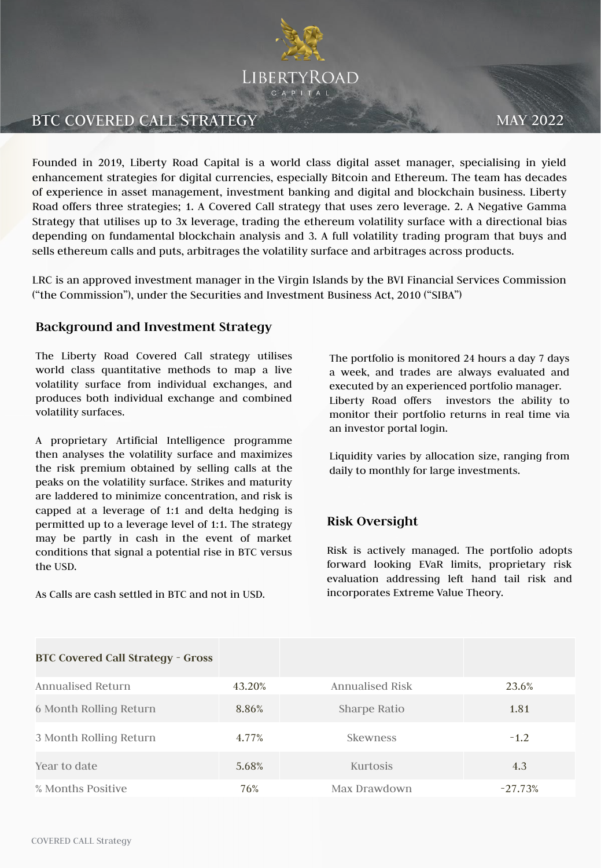

# BTC COVERED CALL STRATEGY MAY 2022

Founded in 2019, Liberty Road Capital is a world class digital asset manager, specialising in yield enhancement strategies for digital currencies, especially Bitcoin and Ethereum. The team has decades of experience in asset management, investment banking and digital and blockchain business. Liberty Road offers three strategies; 1. A Covered Call strategy that uses zero leverage. 2. A Negative Gamma Strategy that utilises up to 3x leverage, trading the ethereum volatility surface with a directional bias depending on fundamental blockchain analysis and 3. A full volatility trading program that buys and sells ethereum calls and puts, arbitrages the volatility surface and arbitrages across products.

LRC is an approved investment manager in the Virgin Islands by the BVI Financial Services Commission ("the Commission"), under the Securities and Investment Business Act, 2010 ("SIBA")

### **Background and Investment Strategy**

The Liberty Road Covered Call strategy utilises world class quantitative methods to map a live volatility surface from individual exchanges, and produces both individual exchange and combined volatility surfaces.

A proprietary Artificial Intelligence programme then analyses the volatility surface and maximizes the risk premium obtained by selling calls at the peaks on the volatility surface. Strikes and maturity are laddered to minimize concentration, and risk is capped at a leverage of 1:1 and delta hedging is permitted up to a leverage level of 1:1. The strategy may be partly in cash in the event of market conditions that signal a potential rise in BTC versus the USD.

As Calls are cash settled in BTC and not in USD.

The portfolio is monitored 24 hours a day 7 days a week, and trades are always evaluated and executed by an experienced portfolio manager. Liberty Road offers investors the ability to monitor their portfolio returns in real time via an investor portal login.

Liquidity varies by allocation size, ranging from daily to monthly for large investments.

## **Risk Oversight**

Risk is actively managed. The portfolio adopts forward looking EVaR limits, proprietary risk evaluation addressing left hand tail risk and incorporates Extreme Value Theory.

| <b>BTC Covered Call Strategy - Gross</b> |        |                 |           |
|------------------------------------------|--------|-----------------|-----------|
| Annualised Return                        | 43.20% | Annualised Risk | 23.6%     |
| 6 Month Rolling Return                   | 8.86%  | Sharpe Ratio    | 1.81      |
| 3 Month Rolling Return                   | 4.77%  | <b>Skewness</b> | $-1.2$    |
| Year to date                             | 5.68%  | Kurtosis        | 4.3       |
| % Months Positive                        | 76%    | Max Drawdown    | $-27.73%$ |